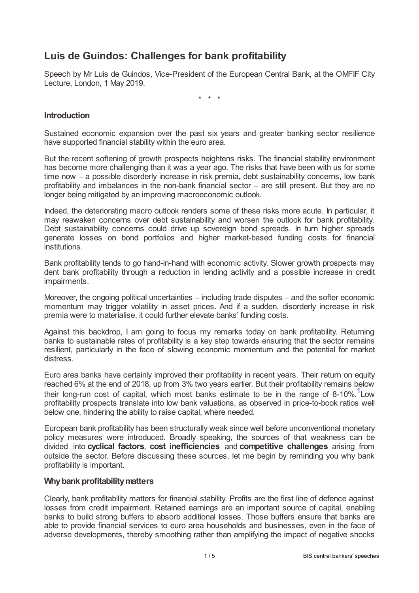# **Luis de Guindos: Challenges for bank profitability**

Speech by Mr Luis de Guindos, Vice-President of the European Central Bank, at the OMFIF City Lecture, London, 1 May 2019.

\* \* \*

## **Introduction**

Sustained economic expansion over the past six years and greater banking sector resilience have supported financial stability within the euro area.

But the recent softening of growth prospects heightens risks. The financial stability environment has become more challenging than it was a year ago. The risks that have been with us for some time now – a possible disorderly increase in risk premia, debt sustainability concerns, low bank profitability and imbalances in the non-bank financial sector – are still present. But they are no longer being mitigated by an improving macroeconomic outlook.

Indeed, the deteriorating macro outlook renders some of these risks more acute. In particular, it may reawaken concerns over debt sustainability and worsen the outlook for bank profitability. Debt sustainability concerns could drive up sovereign bond spreads. In turn higher spreads generate losses on bond portfolios and higher market-based funding costs for financial institutions.

Bank profitability tends to go hand-in-hand with economic activity. Slower growth prospects may dent bank profitability through a reduction in lending activity and a possible increase in credit impairments.

Moreover, the ongoing political uncertainties – including trade disputes – and the softer economic momentum may trigger volatility in asset prices. And if a sudden, disorderly increase in risk premia were to materialise, it could further elevate banks' funding costs.

Against this backdrop, I am going to focus my remarks today on bank profitability. Returning banks to sustainable rates of profitability is a key step towards ensuring that the sector remains resilient, particularly in the face of slowing economic momentum and the potential for market distress.

<span id="page-0-0"></span>Euro area banks have certainly improved their profitability in recent years. Their return on equity reached 6% at the end of 2018, up from 3% two years earlier. But their profitability remains below their long-run cost of capital, which most banks estimate to be in the range of 8-[1](#page-4-0)0%. $1$ Low profitability prospects translate into low bank valuations, as observed in price-to-book ratios well below one, hindering the ability to raise capital, where needed.

European bank profitability has been structurally weak since well before unconventional monetary policy measures were introduced. Broadly speaking, the sources of that weakness can be divided into **cyclical factors**, **cost inefficiencies** and **competitive challenges** arising from outside the sector. Before discussing these sources, let me begin by reminding you why bank profitability is important.

## **Whybank profitabilitymatters**

Clearly, bank profitability matters for financial stability. Profits are the first line of defence against losses from credit impairment. Retained earnings are an important source of capital, enabling banks to build strong buffers to absorb additional losses. Those buffers ensure that banks are able to provide financial services to euro area households and businesses, even in the face of adverse developments, thereby smoothing rather than amplifying the impact of negative shocks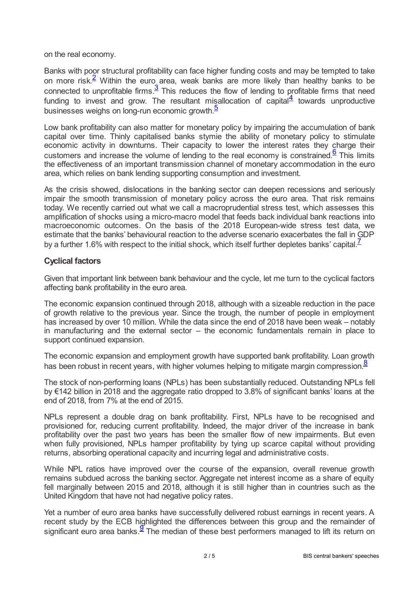on the real economy.

<span id="page-1-1"></span><span id="page-1-0"></span>Banks with poor structural profitability can face higher funding costs and may be tempted to take on more risk.<sup>[2](#page-4-1)</sup> Within the euro area, weak banks are more likely than healthy banks to be connected to unprofitable firms. $\frac{3}{2}$  $\frac{3}{2}$  $\frac{3}{2}$  This reduces the flow of lending to profitable firms that need funding to invest and grow. The resultant misallocation of capital $\frac{4}{3}$  $\frac{4}{3}$  $\frac{4}{3}$  towards unproductive businesses weighs on long-run economic growth.<sup>[5](#page-4-4)</sup>

<span id="page-1-4"></span><span id="page-1-3"></span><span id="page-1-2"></span>Low bank profitability can also matter for monetary policy by impairing the accumulation of bank capital over time. Thinly capitalised banks stymie the ability of monetary policy to stimulate economic activity in downturns. Their capacity to lower the interest rates they charge their customers and increase the volume of lending to the real economy is constrained. $6 \overline{6}$  $6 \overline{6}$  This limits the effectiveness of an important transmission channel of monetary accommodation in the euro area, which relies on bank lending supporting consumption and investment.

As the crisis showed, dislocations in the banking sector can deepen recessions and seriously impair the smooth transmission of monetary policy across the euro area. That risk remains today. We recently carried out what we call a macroprudential stress test, which assesses this amplification of shocks using a micro-macro model that feeds back individual bank reactions into macroeconomic outcomes. On the basis of the 2018 European-wide stress test data, we estimate that the banks' behavioural reaction to the adverse scenario exacerbates the fall in GDP by a further 1.6% with respect to the initial shock, which itself further depletes banks' capital.<sup> $\overline{I}$ </sup>

# <span id="page-1-5"></span>**Cyclical factors**

Given that important link between bank behaviour and the cycle, let me turn to the cyclical factors affecting bank profitability in the euro area.

The economic expansion continued through 2018, although with a sizeable reduction in the pace of growth relative to the previous year. Since the trough, the number of people in employment has increased by over 10 million. While the data since the end of 2018 have been weak – notably in manufacturing and the external sector – the economic fundamentals remain in place to support continued expansion.

<span id="page-1-6"></span>The economic expansion and employment growth have supported bank profitability. Loan growth has been robust in recent years, with higher volumes helping to mitigate margin compression.<sup>[8](#page-4-7)</sup>

The stock of non-performing loans (NPLs) has been substantially reduced. Outstanding NPLs fell by €142 billion in 2018 and the aggregate ratio dropped to 3.8% of significant banks' loans at the end of 2018, from 7% at the end of 2015.

NPLs represent a double drag on bank profitability. First, NPLs have to be recognised and provisioned for, reducing current profitability. Indeed, the major driver of the increase in bank profitability over the past two years has been the smaller flow of new impairments. But even when fully provisioned, NPLs hamper profitability by tying up scarce capital without providing returns, absorbing operational capacity and incurring legal and administrative costs.

While NPL ratios have improved over the course of the expansion, overall revenue growth remains subdued across the banking sector. Aggregate net interest income as a share of equity fell marginally between 2015 and 2018, although it is still higher than in countries such as the United Kingdom that have not had negative policy rates.

<span id="page-1-7"></span>Yet a number of euro area banks have successfully delivered robust earnings in recent years. A recent study by the ECB highlighted the differences between this group and the remainder of significant euro area banks.  $\frac{9}{2}$  $\frac{9}{2}$  $\frac{9}{2}$  The median of these best performers managed to lift its return on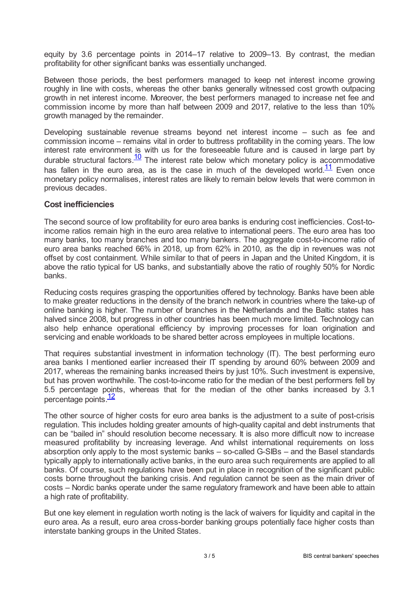equity by 3.6 percentage points in 2014–17 relative to 2009–13. By contrast, the median profitability for other significant banks was essentially unchanged.

Between those periods, the best performers managed to keep net interest income growing roughly in line with costs, whereas the other banks generally witnessed cost growth outpacing growth in net interest income. Moreover, the best performers managed to increase net fee and commission income by more than half between 2009 and 2017, relative to the less than 10% growth managed by the remainder.

<span id="page-2-0"></span>Developing sustainable revenue streams beyond net interest income – such as fee and commission income – remains vital in order to buttress profitability in the coming years. The low interest rate environment is with us for the foreseeable future and is caused in large part by durable structural factors.<sup>[10](#page-4-9)</sup> The interest rate below which monetary policy is accommodative has fallen in the euro area, as is the case in much of the developed world.<sup>[11](#page-4-10)</sup> Even once monetary policy normalises, interest rates are likely to remain below levels that were common in previous decades.

## <span id="page-2-1"></span>**Cost inefficiencies**

The second source of low profitability for euro area banks is enduring cost inefficiencies. Cost-toincome ratios remain high in the euro area relative to international peers. The euro area has too many banks, too many branches and too many bankers. The aggregate cost-to-income ratio of euro area banks reached 66% in 2018, up from 62% in 2010, as the dip in revenues was not offset by cost containment. While similar to that of peers in Japan and the United Kingdom, it is above the ratio typical for US banks, and substantially above the ratio of roughly 50% for Nordic banks.

Reducing costs requires grasping the opportunities offered by technology. Banks have been able to make greater reductions in the density of the branch network in countries where the take-up of online banking is higher. The number of branches in the Netherlands and the Baltic states has halved since 2008, but progress in other countries has been much more limited. Technology can also help enhance operational efficiency by improving processes for loan origination and servicing and enable workloads to be shared better across employees in multiple locations.

That requires substantial investment in information technology (IT). The best performing euro area banks I mentioned earlier increased their IT spending by around 60% between 2009 and 2017, whereas the remaining banks increased theirs by just 10%. Such investment is expensive, but has proven worthwhile. The cost-to-income ratio for the median of the best performers fell by 5.5 percentage points, whereas that for the median of the other banks increased by 3.1 percentage points [12](#page-4-11)

<span id="page-2-2"></span>The other source of higher costs for euro area banks is the adjustment to a suite of post-crisis regulation. This includes holding greater amounts of high-quality capital and debt instruments that can be "bailed in" should resolution become necessary. It is also more difficult now to increase measured profitability by increasing leverage. And whilst international requirements on loss absorption only apply to the most systemic banks – so-called G-SIBs – and the Basel standards typically apply to internationally active banks, in the euro area such requirements are applied to all banks. Of course, such regulations have been put in place in recognition of the significant public costs borne throughout the banking crisis. And regulation cannot be seen as the main driver of costs – Nordic banks operate under the same regulatory framework and have been able to attain a high rate of profitability.

But one key element in regulation worth noting is the lack of waivers for liquidity and capital in the euro area. As a result, euro area cross-border banking groups potentially face higher costs than interstate banking groups in the United States.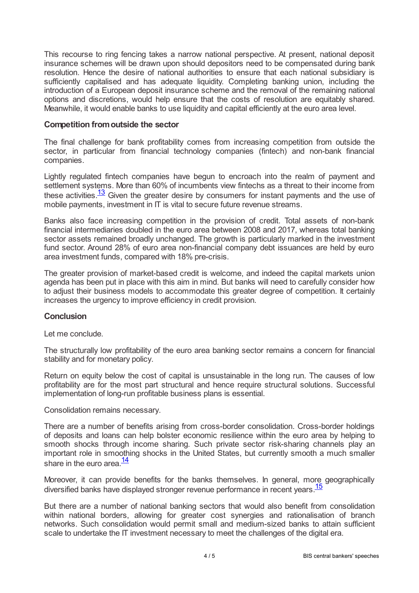This recourse to ring fencing takes a narrow national perspective. At present, national deposit insurance schemes will be drawn upon should depositors need to be compensated during bank resolution. Hence the desire of national authorities to ensure that each national subsidiary is sufficiently capitalised and has adequate liquidity. Completing banking union, including the introduction of a European deposit insurance scheme and the removal of the remaining national options and discretions, would help ensure that the costs of resolution are equitably shared. Meanwhile, it would enable banks to use liquidity and capital efficiently at the euro area level.

## **Competition fromoutside the sector**

The final challenge for bank profitability comes from increasing competition from outside the sector, in particular from financial technology companies (fintech) and non-bank financial companies.

<span id="page-3-0"></span>Lightly regulated fintech companies have begun to encroach into the realm of payment and settlement systems. More than 60% of incumbents view fintechs as a threat to their income from these activities. $\frac{13}{13}$  $\frac{13}{13}$  $\frac{13}{13}$  Given the greater desire by consumers for instant payments and the use of mobile payments, investment in IT is vital to secure future revenue streams.

Banks also face increasing competition in the provision of credit. Total assets of non-bank financial intermediaries doubled in the euro area between 2008 and 2017, whereas total banking sector assets remained broadly unchanged. The growth is particularly marked in the investment fund sector. Around 28% of euro area non-financial company debt issuances are held by euro area investment funds, compared with 18% pre-crisis.

The greater provision of market-based credit is welcome, and indeed the capital markets union agenda has been put in place with this aim in mind. But banks will need to carefully consider how to adjust their business models to accommodate this greater degree of competition. It certainly increases the urgency to improve efficiency in credit provision.

## **Conclusion**

Let me conclude.

The structurally low profitability of the euro area banking sector remains a concern for financial stability and for monetary policy.

Return on equity below the cost of capital is unsustainable in the long run. The causes of low profitability are for the most part structural and hence require structural solutions. Successful implementation of long-run profitable business plans is essential.

Consolidation remains necessary.

There are a number of benefits arising from cross-border consolidation. Cross-border holdings of deposits and loans can help bolster economic resilience within the euro area by helping to smooth shocks through income sharing. Such private sector risk-sharing channels play an important role in smoothing shocks in the United States, but currently smooth a much smaller share in the euro area.<sup>[14](#page-4-13)</sup>

<span id="page-3-2"></span><span id="page-3-1"></span>Moreover, it can provide benefits for the banks themselves. In general, more geographically diversified banks have displayed stronger revenue performance in recent years.<sup>[15](#page-4-14)</sup>

But there are a number of national banking sectors that would also benefit from consolidation within national borders, allowing for greater cost synergies and rationalisation of branch networks. Such consolidation would permit small and medium-sized banks to attain sufficient scale to undertake the IT investment necessary to meet the challenges of the digital era.